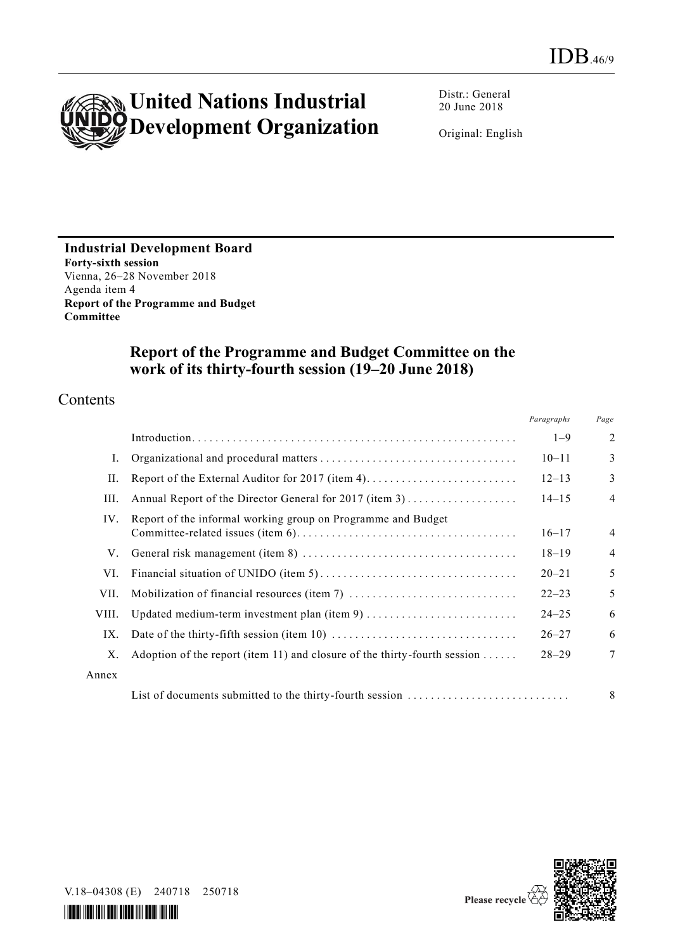

Distr.: General 20 June 2018

Original: English

**Industrial Development Board Forty-sixth session** Vienna, 26–28 November 2018 Agenda item 4 **Report of the Programme and Budget Committee**

## **Report of the Programme and Budget Committee on the work of its thirty-fourth session (19–20 June 2018)**

### Contents

|       |                                                                                                          | Paragraphs | Page           |  |
|-------|----------------------------------------------------------------------------------------------------------|------------|----------------|--|
|       |                                                                                                          | $1 - 9$    | $\overline{2}$ |  |
| Ι.    |                                                                                                          | $10 - 11$  | 3              |  |
| П.    |                                                                                                          | $12 - 13$  | 3              |  |
| Ш.    | $14 - 15$                                                                                                |            |                |  |
| IV.   | Report of the informal working group on Programme and Budget                                             | $16 - 17$  | $\overline{4}$ |  |
| V.    |                                                                                                          | $18 - 19$  | $\overline{4}$ |  |
| VI.   |                                                                                                          | $20 - 21$  | 5              |  |
| VII.  |                                                                                                          | $22 - 23$  | 5              |  |
| VIII. | Updated medium-term investment plan (item 9)                                                             | $24 - 25$  | 6              |  |
| IX.   | Date of the thirty-fifth session (item 10) $\dots \dots \dots \dots \dots \dots \dots \dots \dots \dots$ | $26 - 27$  | 6              |  |
| Χ.    | Adoption of the report (item 11) and closure of the thirty-fourth session                                | $28 - 29$  | $\overline{7}$ |  |
| Annex |                                                                                                          |            |                |  |
|       | List of documents submitted to the thirty-fourth session                                                 |            | 8              |  |



V.18–04308 (E) 240718 250718

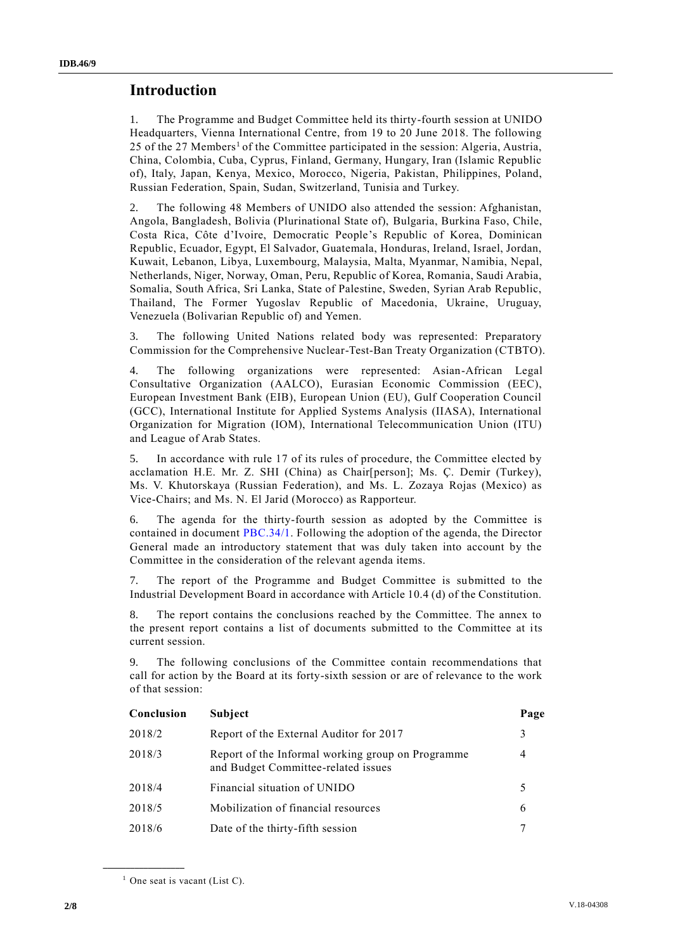### **Introduction**

1. The Programme and Budget Committee held its thirty-fourth session at UNIDO Headquarters, Vienna International Centre, from 19 to 20 June 2018. The following 25 of the 27 Members<sup>1</sup> of the Committee participated in the session: Algeria, Austria, China, Colombia, Cuba, Cyprus, Finland, Germany, Hungary, Iran (Islamic Republic of), Italy, Japan, Kenya, Mexico, Morocco, Nigeria, Pakistan, Philippines, Poland, Russian Federation, Spain, Sudan, Switzerland, Tunisia and Turkey.

2. The following 48 Members of UNIDO also attended the session: Afghanistan, Angola, Bangladesh, Bolivia (Plurinational State of), Bulgaria, Burkina Faso, Chile, Costa Rica, Côte d'Ivoire, Democratic People's Republic of Korea, Dominican Republic, Ecuador, Egypt, El Salvador, Guatemala, Honduras, Ireland, Israel, Jordan, Kuwait, Lebanon, Libya, Luxembourg, Malaysia, Malta, Myanmar, Namibia, Nepal, Netherlands, Niger, Norway, Oman, Peru, Republic of Korea, Romania, Saudi Arabia, Somalia, South Africa, Sri Lanka, State of Palestine, Sweden, Syrian Arab Republic, Thailand, The Former Yugoslav Republic of Macedonia, Ukraine, Uruguay, Venezuela (Bolivarian Republic of) and Yemen.

3. The following United Nations related body was represented: Preparatory Commission for the Comprehensive Nuclear-Test-Ban Treaty Organization (CTBTO).

4. The following organizations were represented: Asian-African Legal Consultative Organization (AALCO), Eurasian Economic Commission (EEC), European Investment Bank (EIB), European Union (EU), Gulf Cooperation Council (GCC), International Institute for Applied Systems Analysis (IIASA), International Organization for Migration (IOM), International Telecommunication Union (ITU) and League of Arab States.

5. In accordance with rule 17 of its rules of procedure, the Committee elected by acclamation H.E. Mr. Z. SHI (China) as Chair[person]; Ms. Ç. Demir (Turkey), Ms. V. Khutorskaya (Russian Federation), and Ms. L. Zozaya Rojas (Mexico) as Vice-Chairs; and Ms. N. El Jarid (Morocco) as Rapporteur.

6. The agenda for the thirty-fourth session as adopted by the Committee is contained in document [PBC.34/1.](http://undocs.org/PBC.34/1) Following the adoption of the agenda, the Director General made an introductory statement that was duly taken into account by the Committee in the consideration of the relevant agenda items.

7. The report of the Programme and Budget Committee is submitted to the Industrial Development Board in accordance with Article 10.4 (d) of the Constitution.

8. The report contains the conclusions reached by the Committee. The annex to the present report contains a list of documents submitted to the Committee at its current session.

9. The following conclusions of the Committee contain recommendations that call for action by the Board at its forty-sixth session or are of relevance to the work of that session:

| Conclusion | Subject                                                                                  | Page |
|------------|------------------------------------------------------------------------------------------|------|
| 2018/2     | Report of the External Auditor for 2017                                                  | 3    |
| 2018/3     | Report of the Informal working group on Programme<br>and Budget Committee-related issues | 4    |
| 2018/4     | Financial situation of UNIDO                                                             | 5    |
| 2018/5     | Mobilization of financial resources                                                      | 6    |
| 2018/6     | Date of the thirty-fifth session                                                         |      |

 $<sup>1</sup>$  One seat is vacant (List C).</sup>

**\_\_\_\_\_\_\_\_\_\_\_\_\_\_\_\_\_\_**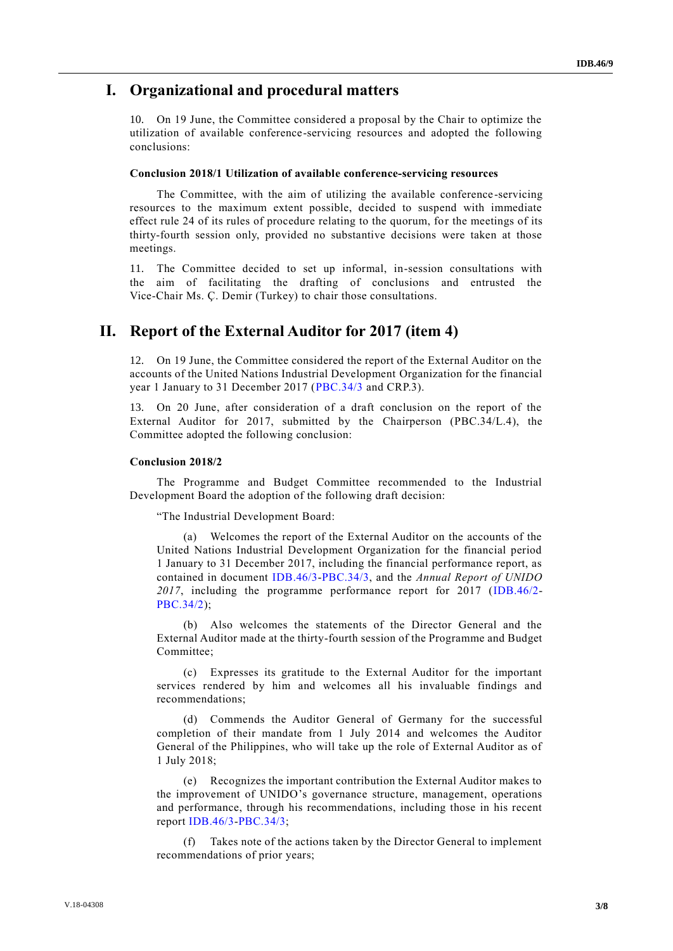#### **I. Organizational and procedural matters**

10. On 19 June, the Committee considered a proposal by the Chair to optimize the utilization of available conference-servicing resources and adopted the following conclusions:

#### **Conclusion 2018/1 Utilization of available conference-servicing resources**

The Committee, with the aim of utilizing the available conference -servicing resources to the maximum extent possible, decided to suspend with immediate effect rule 24 of its rules of procedure relating to the quorum, for the meetings of its thirty-fourth session only, provided no substantive decisions were taken at those meetings.

11. The Committee decided to set up informal, in-session consultations with the aim of facilitating the drafting of conclusions and entrusted the Vice-Chair Ms. Ç. Demir (Turkey) to chair those consultations.

#### **II. Report of the External Auditor for 2017 (item 4)**

12. On 19 June, the Committee considered the report of the External Auditor on the accounts of the United Nations Industrial Development Organization for the financial year 1 January to 31 December 2017 [\(PBC.34/3](http://undocs.org/PBC.34/3) and CRP.3).

13. On 20 June, after consideration of a draft conclusion on the report of the External Auditor for 2017, submitted by the Chairperson (PBC.34/L.4), the Committee adopted the following conclusion:

#### **Conclusion 2018/2**

The Programme and Budget Committee recommended to the Industrial Development Board the adoption of the following draft decision:

"The Industrial Development Board:

(a) Welcomes the report of the External Auditor on the accounts of the United Nations Industrial Development Organization for the financial period 1 January to 31 December 2017, including the financial performance report, as contained in document [IDB.46/3-](http://undocs.org/IDB.46/3)[PBC.34/3,](http://undocs.org/PBC.34/3) and the *Annual Report of UNIDO 2017*, including the programme performance report for 2017 [\(IDB.46/2-](http://undocs.org/IDB.46/2) [PBC.34/2\)](http://undocs.org/PBC.34/2);

(b) Also welcomes the statements of the Director General and the External Auditor made at the thirty-fourth session of the Programme and Budget Committee;

(c) Expresses its gratitude to the External Auditor for the important services rendered by him and welcomes all his invaluable findings and recommendations;

(d) Commends the Auditor General of Germany for the successful completion of their mandate from 1 July 2014 and welcomes the Auditor General of the Philippines, who will take up the role of External Auditor as of 1 July 2018;

(e) Recognizes the important contribution the External Auditor makes to the improvement of UNIDO's governance structure, management, operations and performance, through his recommendations, including those in his recent report [IDB.46/3-](http://undocs.org/IDB.46/3)[PBC.34/3;](http://undocs.org/PBC.34/3)

(f) Takes note of the actions taken by the Director General to implement recommendations of prior years;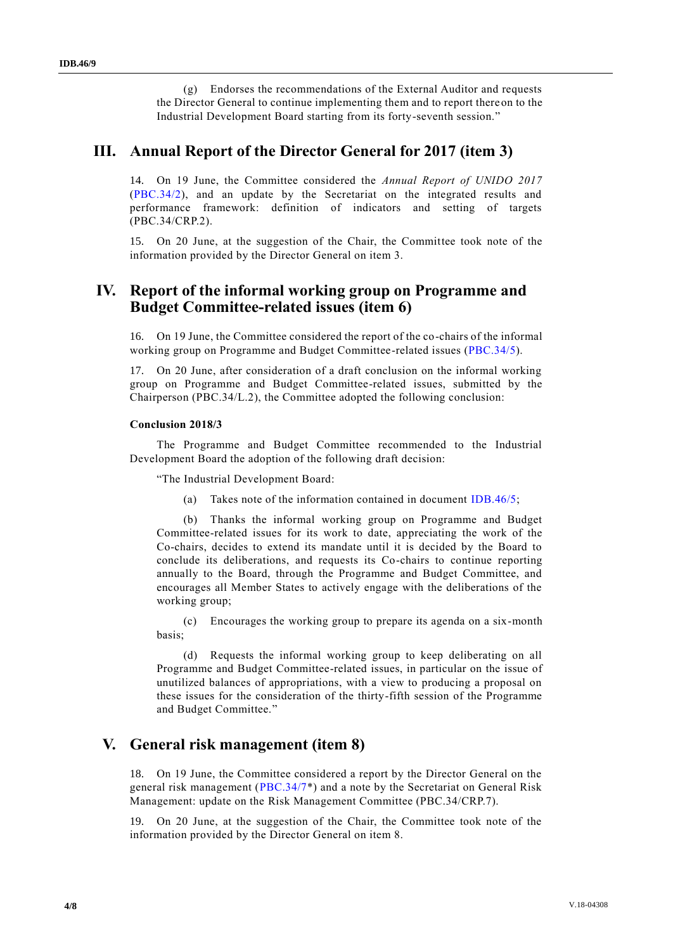(g) Endorses the recommendations of the External Auditor and requests the Director General to continue implementing them and to report thereon to the Industrial Development Board starting from its forty-seventh session."

### **III. Annual Report of the Director General for 2017 (item 3)**

14. On 19 June, the Committee considered the *Annual Report of UNIDO 2017* [\(PBC.34/2\)](http://undocs.org/PBC.34/2), and an update by the Secretariat on the integrated results and performance framework: definition of indicators and setting of targets (PBC.34/CRP.2).

15. On 20 June, at the suggestion of the Chair, the Committee took note of the information provided by the Director General on item 3.

### **IV. Report of the informal working group on Programme and Budget Committee-related issues (item 6)**

16. On 19 June, the Committee considered the report of the co-chairs of the informal working group on Programme and Budget Committee-related issues [\(PBC.34/5\)](http://undocs.org/PBC.34/5).

17. On 20 June, after consideration of a draft conclusion on the informal working group on Programme and Budget Committee-related issues, submitted by the Chairperson (PBC.34/L.2), the Committee adopted the following conclusion:

#### **Conclusion 2018/3**

The Programme and Budget Committee recommended to the Industrial Development Board the adoption of the following draft decision:

"The Industrial Development Board:

(a) Takes note of the information contained in document [IDB.46/5;](http://undocs.org/IDB.46/5)

(b) Thanks the informal working group on Programme and Budget Committee-related issues for its work to date, appreciating the work of the Co-chairs, decides to extend its mandate until it is decided by the Board to conclude its deliberations, and requests its Co-chairs to continue reporting annually to the Board, through the Programme and Budget Committee, and encourages all Member States to actively engage with the deliberations of the working group;

(c) Encourages the working group to prepare its agenda on a six-month basis;

(d) Requests the informal working group to keep deliberating on all Programme and Budget Committee-related issues, in particular on the issue of unutilized balances of appropriations, with a view to producing a proposal on these issues for the consideration of the thirty-fifth session of the Programme and Budget Committee."

### **V. General risk management (item 8)**

18. On 19 June, the Committee considered a report by the Director General on the general risk management [\(PBC.34/7\\*](http://undocs.org/PBC.34/7)) and a note by the Secretariat on General Risk Management: update on the Risk Management Committee (PBC.34/CRP.7).

19. On 20 June, at the suggestion of the Chair, the Committee took note of the information provided by the Director General on item 8.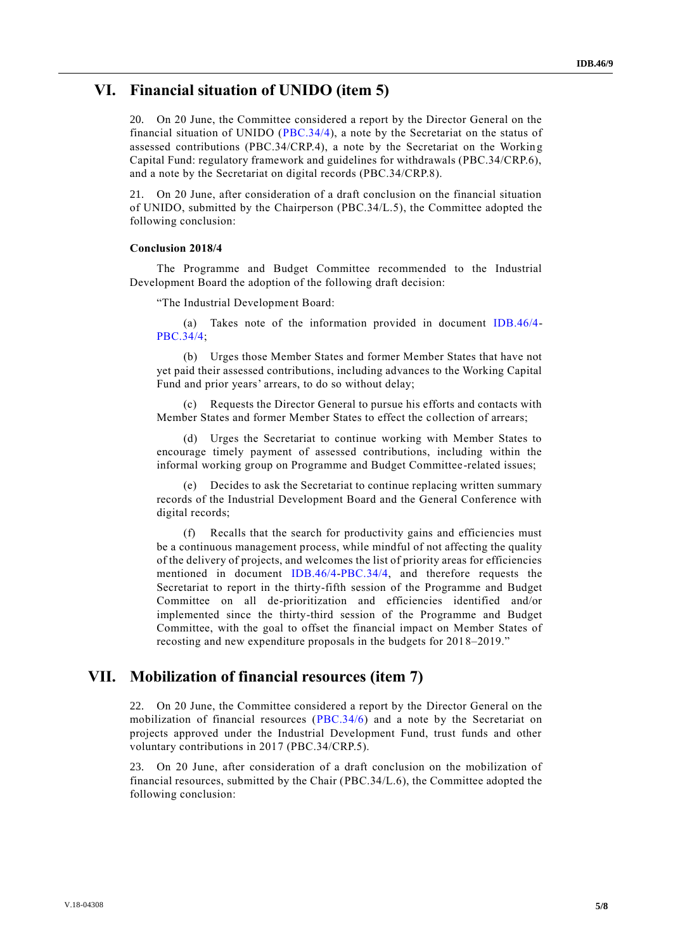#### **VI. Financial situation of UNIDO (item 5)**

20. On 20 June, the Committee considered a report by the Director General on the financial situation of UNIDO [\(PBC.34/4\)](http://undocs.org/PBC.34/4), a note by the Secretariat on the status of assessed contributions (PBC.34/CRP.4), a note by the Secretariat on the Working Capital Fund: regulatory framework and guidelines for withdrawals (PBC.34/CRP.6), and a note by the Secretariat on digital records (PBC.34/CRP.8).

21. On 20 June, after consideration of a draft conclusion on the financial situation of UNIDO, submitted by the Chairperson (PBC.34/L.5), the Committee adopted the following conclusion:

#### **Conclusion 2018/4**

The Programme and Budget Committee recommended to the Industrial Development Board the adoption of the following draft decision:

"The Industrial Development Board:

(a) Takes note of the information provided in document [IDB.46/4-](http://undocs.org/IDB.46/4) [PBC.34/4;](http://undocs.org/PBC.34/4)

(b) Urges those Member States and former Member States that have not yet paid their assessed contributions, including advances to the Working Capital Fund and prior years' arrears, to do so without delay;

(c) Requests the Director General to pursue his efforts and contacts with Member States and former Member States to effect the collection of arrears;

(d) Urges the Secretariat to continue working with Member States to encourage timely payment of assessed contributions, including within the informal working group on Programme and Budget Committee-related issues;

(e) Decides to ask the Secretariat to continue replacing written summary records of the Industrial Development Board and the General Conference with digital records;

(f) Recalls that the search for productivity gains and efficiencies must be a continuous management process, while mindful of not affecting the quality of the delivery of projects, and welcomes the list of priority areas for efficiencies mentioned in document [IDB.46/4-](http://undocs.org/IDB.46/4)[PBC.34/4,](http://undocs.org/PBC.34/4) and therefore requests the Secretariat to report in the thirty-fifth session of the Programme and Budget Committee on all de-prioritization and efficiencies identified and/or implemented since the thirty-third session of the Programme and Budget Committee, with the goal to offset the financial impact on Member States of recosting and new expenditure proposals in the budgets for 2018–2019."

#### **VII. Mobilization of financial resources (item 7)**

22. On 20 June, the Committee considered a report by the Director General on the mobilization of financial resources [\(PBC.34/6\)](http://undocs.org/PBC.34/6) and a note by the Secretariat on projects approved under the Industrial Development Fund, trust funds and other voluntary contributions in 2017 (PBC.34/CRP.5).

23. On 20 June, after consideration of a draft conclusion on the mobilization of financial resources, submitted by the Chair (PBC.34/L.6), the Committee adopted the following conclusion: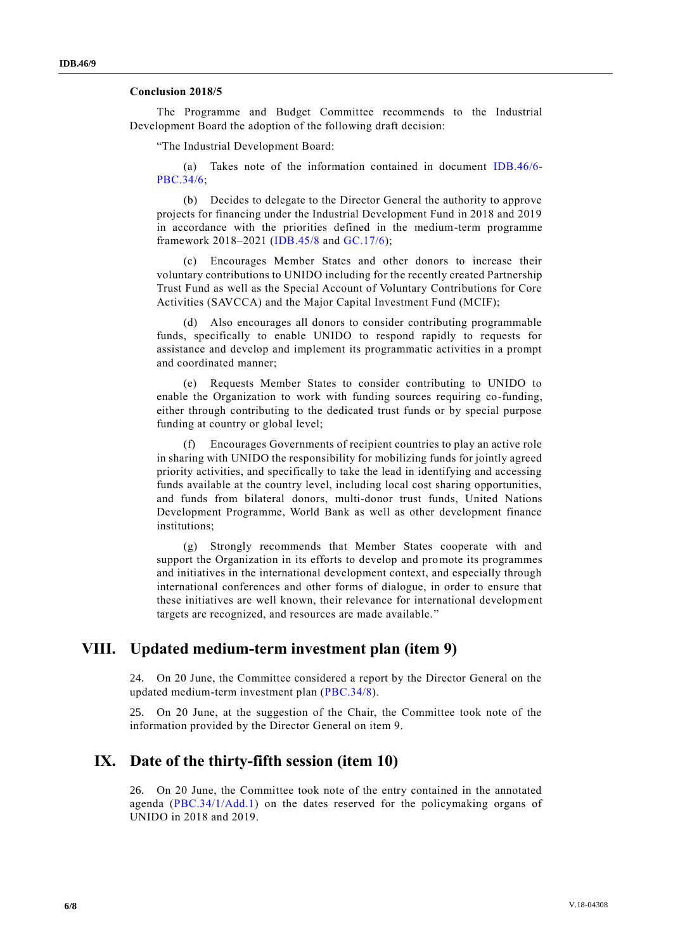#### **Conclusion 2018/5**

The Programme and Budget Committee recommends to the Industrial Development Board the adoption of the following draft decision:

"The Industrial Development Board:

(a) Takes note of the information contained in document [IDB.46/6-](http://undocs.org/IDB.46/6) [PBC.34/6;](http://undocs.org/PBC.34/6)

(b) Decides to delegate to the Director General the authority to approve projects for financing under the Industrial Development Fund in 2018 and 2019 in accordance with the priorities defined in the medium-term programme framework 2018–2021 [\(IDB.45/8](http://undocs.org/IDB.45/8) and [GC.17/6\)](http://undocs.org/GC.17/6);

(c) Encourages Member States and other donors to increase their voluntary contributions to UNIDO including for the recently created Partnership Trust Fund as well as the Special Account of Voluntary Contributions for Core Activities (SAVCCA) and the Major Capital Investment Fund (MCIF);

(d) Also encourages all donors to consider contributing programmable funds, specifically to enable UNIDO to respond rapidly to requests for assistance and develop and implement its programmatic activities in a prompt and coordinated manner;

(e) Requests Member States to consider contributing to UNIDO to enable the Organization to work with funding sources requiring co-funding, either through contributing to the dedicated trust funds or by special purpose funding at country or global level;

(f) Encourages Governments of recipient countries to play an active role in sharing with UNIDO the responsibility for mobilizing funds for jointly agreed priority activities, and specifically to take the lead in identifying and accessing funds available at the country level, including local cost sharing opportunities, and funds from bilateral donors, multi-donor trust funds, United Nations Development Programme, World Bank as well as other development finance institutions;

(g) Strongly recommends that Member States cooperate with and support the Organization in its efforts to develop and promote its programmes and initiatives in the international development context, and especially through international conferences and other forms of dialogue, in order to ensure that these initiatives are well known, their relevance for international development targets are recognized, and resources are made available."

### **VIII. Updated medium-term investment plan (item 9)**

24. On 20 June, the Committee considered a report by the Director General on the updated medium-term investment plan [\(PBC.34/8\)](http://undocs.org/PBC.34/8).

25. On 20 June, at the suggestion of the Chair, the Committee took note of the information provided by the Director General on item 9.

### **IX. Date of the thirty-fifth session (item 10)**

26. On 20 June, the Committee took note of the entry contained in the annotated agenda [\(PBC.34/1/Add.1\)](http://undocs.org/PBC.34/1/Add.1) on the dates reserved for the policymaking organs of UNIDO in 2018 and 2019.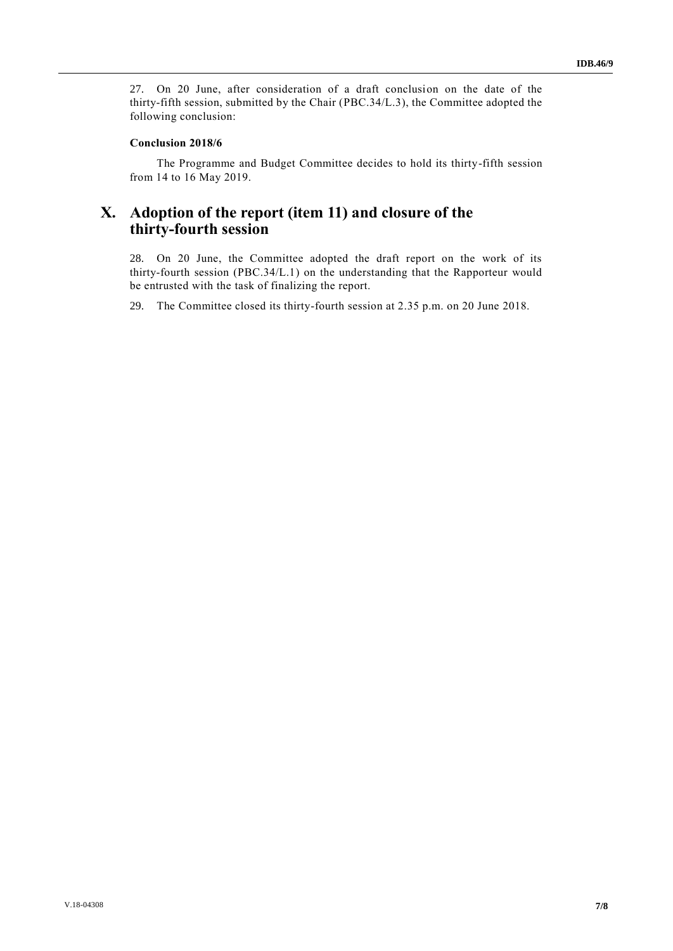27. On 20 June, after consideration of a draft conclusion on the date of the thirty-fifth session, submitted by the Chair (PBC.34/L.3), the Committee adopted the following conclusion:

#### **Conclusion 2018/6**

The Programme and Budget Committee decides to hold its thirty-fifth session from 14 to 16 May 2019.

# **X. Adoption of the report (item 11) and closure of the thirty-fourth session**

28. On 20 June, the Committee adopted the draft report on the work of its thirty-fourth session (PBC.34/L.1) on the understanding that the Rapporteur would be entrusted with the task of finalizing the report.

29. The Committee closed its thirty-fourth session at 2.35 p.m. on 20 June 2018.